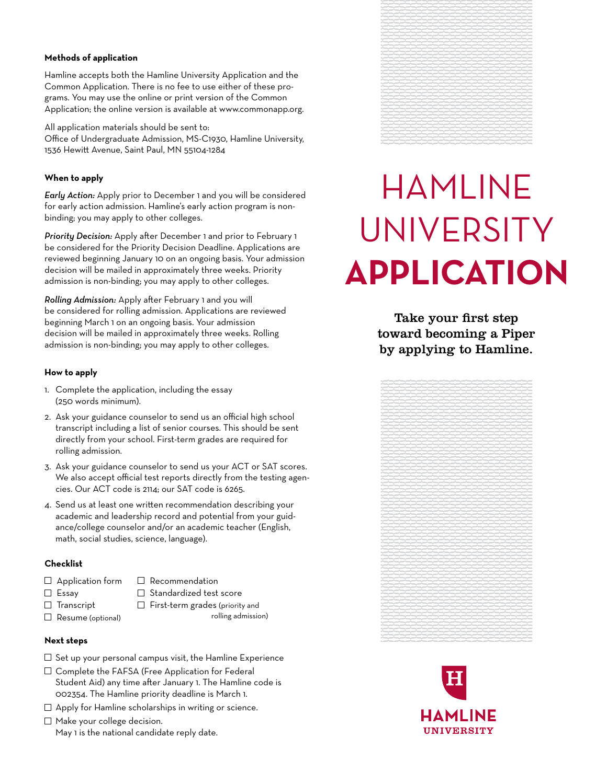## **Methods of application**

Hamline accepts both the Hamline University Application and the Common Application. There is no fee to use either of these programs. You may use the online or print version of the Common Application; the online version is available at www.commonapp.org.

All application materials should be sent to: Office of Undergraduate Admission, MS-C1930, Hamline University, 1536 Hewitt Avenue, Saint Paul, MN 55104-1284

## **When to apply**

*Early Action:* Apply prior to December 1 and you will be considered for early action admission. Hamline's early action program is nonbinding; you may apply to other colleges.

*Priority Decision:* Apply after December 1 and prior to February 1 be considered for the Priority Decision Deadline. Applications are reviewed beginning January 10 on an ongoing basis. Your admission decision will be mailed in approximately three weeks. Priority admission is non-binding; you may apply to other colleges.

*Rolling Admission:* Apply after February 1 and you will be considered for rolling admission. Applications are reviewed beginning March 1 on an ongoing basis. Your admission decision will be mailed in approximately three weeks. Rolling admission is non-binding; you may apply to other colleges.

# **How to apply**

- 1. Complete the application, including the essay (250 words minimum).
- 2. Ask your guidance counselor to send us an official high school transcript including a list of senior courses. This should be sent directly from your school. First-term grades are required for rolling admission.
- 3. Ask your guidance counselor to send us your ACT or SAT scores. We also accept official test reports directly from the testing agencies. Our ACT code is 2114; our SAT code is 6265.
- 4. Send us at least one written recommendation describing your academic and leadership record and potential from your guidance/college counselor and/or an academic teacher (English, math, social studies, science, language).

# **Checklist**

- 
- $\Box$  Application form  $\Box$  Recommendation
- 
- $\square$  Essay  $\square$  Standardized test score
- 
- $\Box$  Transcript  $\Box$  First-term grades (priority and
- $\Box$  Resume (optional)  $\Box$  Resume (optional)

## **Next steps**

- $\Box$  Set up your personal campus visit, the Hamline Experience
- $\Box$  Complete the FAFSA (Free Application for Federal Student Aid) any time after January 1. The Hamline code is 002354. The Hamline priority deadline is March 1.
- $\Box$  Apply for Hamline scholarships in writing or science.
- $\Box$  Make your college decision. May 1 is the national candidate reply date.



# Hamline **UNIVERSITY Application**

Take your first step toward becoming a Piper by applying to Hamline.



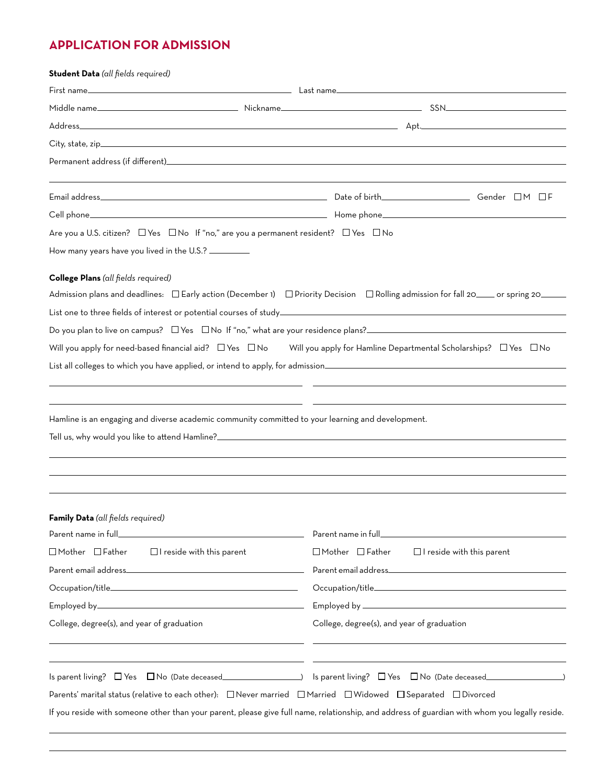# **APPLICATION FOR ADMISSION**

| Student Data (all fields required)                                                                                                            |                                            |                                  |
|-----------------------------------------------------------------------------------------------------------------------------------------------|--------------------------------------------|----------------------------------|
|                                                                                                                                               |                                            |                                  |
|                                                                                                                                               |                                            |                                  |
|                                                                                                                                               |                                            |                                  |
|                                                                                                                                               |                                            |                                  |
|                                                                                                                                               |                                            |                                  |
|                                                                                                                                               |                                            |                                  |
|                                                                                                                                               |                                            |                                  |
| Are you a U.S. citizen? $\Box$ Yes $\Box$ No If "no," are you a permanent resident? $\Box$ Yes $\Box$ No                                      |                                            |                                  |
| How many years have you lived in the U.S.? __________                                                                                         |                                            |                                  |
| College Plans (all fields required)                                                                                                           |                                            |                                  |
| Admission plans and deadlines: □Early action (December 1) □Priority Decision □Rolling admission for fall 20____ or spring 20____              |                                            |                                  |
|                                                                                                                                               |                                            |                                  |
| Do you plan to live on campus? $\Box$ Yes $\Box$ No If "no," what are your residence plans?                                                   |                                            |                                  |
| Will you apply for need-based financial aid? $\Box$ Yes $\Box$ No Will you apply for Hamline Departmental Scholarships? $\Box$ Yes $\Box$ No  |                                            |                                  |
| List all colleges to which you have applied, or intend to apply, for admission________________________________                                |                                            |                                  |
|                                                                                                                                               |                                            |                                  |
|                                                                                                                                               |                                            |                                  |
| Hamline is an engaging and diverse academic community committed to your learning and development.                                             |                                            |                                  |
|                                                                                                                                               |                                            |                                  |
|                                                                                                                                               |                                            |                                  |
|                                                                                                                                               |                                            |                                  |
|                                                                                                                                               |                                            |                                  |
|                                                                                                                                               |                                            |                                  |
| Family Data (all fields required)                                                                                                             |                                            |                                  |
|                                                                                                                                               | Parent name in full_                       |                                  |
| $\Box$ Mother $\Box$ Father $\Box$ I reside with this parent                                                                                  | $\square$ Mother $\square$ Father          | $\Box$ I reside with this parent |
|                                                                                                                                               |                                            |                                  |
|                                                                                                                                               |                                            |                                  |
|                                                                                                                                               |                                            |                                  |
| College, degree(s), and year of graduation                                                                                                    | College, degree(s), and year of graduation |                                  |
|                                                                                                                                               |                                            |                                  |
|                                                                                                                                               |                                            |                                  |
| Parents' marital status (relative to each other): $\Box$ Never married $\Box$ Married $\Box$ Widowed $\Box$ Separated $\Box$ Divorced         |                                            |                                  |
| If you reside with someone other than your parent, please give full name, relationship, and address of guardian with whom you legally reside. |                                            |                                  |
|                                                                                                                                               |                                            |                                  |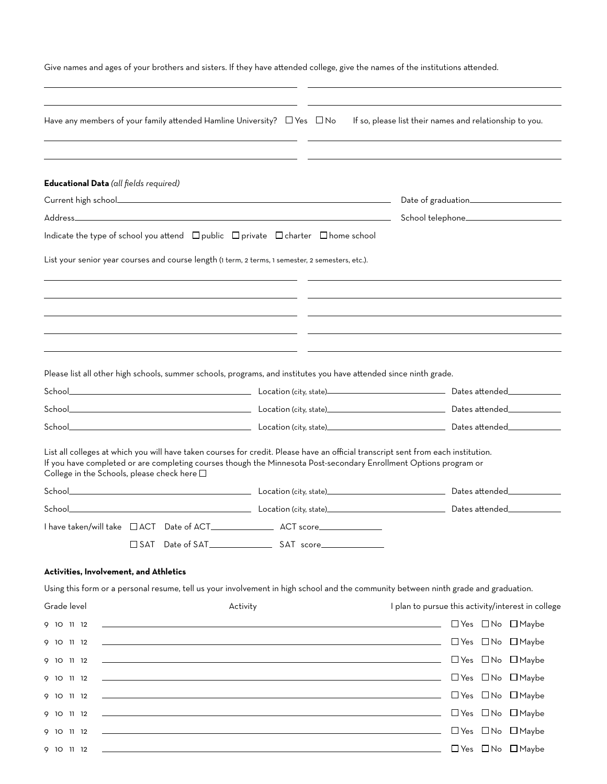| Have any members of your family attended Hamline University? $\Box$ Yes $\Box$ No<br>If so, please list their names and relationship to you.<br>Educational Data (all fields required)<br>Indicate the type of school you attend $\Box$ public $\Box$ private $\Box$ charter $\Box$ home school<br>List your senior year courses and course length (1 term, 2 terms, 1 semester, 2 semesters, etc.).<br>Please list all other high schools, summer schools, programs, and institutes you have attended since ninth grade.<br>List all colleges at which you will have taken courses for credit. Please have an official transcript sent from each institution.<br>If you have completed or are completing courses though the Minnesota Post-secondary Enrollment Options program or<br>College in the Schools, please check here $\square$<br>Dates attended_____________<br>School.<br><b>Example 2018 Location (city, state). Construction (city, state)</b><br>Dates attended<br>I have taken/will take □ ACT Date of ACT_______________________ACT score_______________<br>Activities, Involvement, and Athletics<br>Using this form or a personal resume, tell us your involvement in high school and the community between ninth grade and graduation.<br>Grade level<br>Activity<br>I plan to pursue this activity/interest in college<br>$\Box$ Yes $\Box$ No $\Box$ Maybe<br><u> 1989 - Johann Stoff, fransk politik (f. 1989)</u><br>9 10 11 12<br><u> 1989 - Johann Stoff, amerikansk politiker (d. 1989)</u><br>□ Yes □ No □ Maybe<br>9 10 11 12<br><u> 1989 - Johann Stoff, fransk politik (f. 1989)</u><br>□ Yes □ No □ Maybe<br>9 10 11 12<br><u> 1999 - Johann Stoff, fransk politik (d. 1989)</u><br>$\Box$ Yes $\Box$ No $\Box$ Maybe<br>9 10 11 12<br><u> 1989 - Johann Stoff, amerikansk politiker (d. 1989)</u><br>□ Yes □ No □ Maybe<br>9 10 11 12<br><u> 1989 - Johann Stoff, deutscher Stoffen und der Stoffen und der Stoffen und der Stoffen und der Stoffen und der</u><br>$\Box$ Yes $\Box$ No $\Box$ Maybe<br>9 10 11 12<br><u> 1989 - Andrea Barbara, amerikan personal dan personal dan personal dan personal dan personal dan personal da</u><br>$\Box$ Yes $\Box$ No $\Box$ Maybe<br>9 10 11 12<br><u> 1989 - Johann Stoff, deutscher Stoffen und der Stoffen und der Stoffen und der Stoffen und der Stoffen und der</u><br>$\Box$ Yes $\Box$ No $\Box$ Maybe<br>9 10 11 12 |  |  | Give names and ages of your brothers and sisters. If they have attended college, give the names of the institutions attended. |  |
|---------------------------------------------------------------------------------------------------------------------------------------------------------------------------------------------------------------------------------------------------------------------------------------------------------------------------------------------------------------------------------------------------------------------------------------------------------------------------------------------------------------------------------------------------------------------------------------------------------------------------------------------------------------------------------------------------------------------------------------------------------------------------------------------------------------------------------------------------------------------------------------------------------------------------------------------------------------------------------------------------------------------------------------------------------------------------------------------------------------------------------------------------------------------------------------------------------------------------------------------------------------------------------------------------------------------------------------------------------------------------------------------------------------------------------------------------------------------------------------------------------------------------------------------------------------------------------------------------------------------------------------------------------------------------------------------------------------------------------------------------------------------------------------------------------------------------------------------------------------------------------------------------------------------------------------------------------------------------------------------------------------------------------------------------------------------------------------------------------------------------------------------------------------------------------------------------------------------------------------------------------------------------------------------------------------------------------------------------------------------------------------------------------------|--|--|-------------------------------------------------------------------------------------------------------------------------------|--|
|                                                                                                                                                                                                                                                                                                                                                                                                                                                                                                                                                                                                                                                                                                                                                                                                                                                                                                                                                                                                                                                                                                                                                                                                                                                                                                                                                                                                                                                                                                                                                                                                                                                                                                                                                                                                                                                                                                                                                                                                                                                                                                                                                                                                                                                                                                                                                                                                               |  |  |                                                                                                                               |  |
|                                                                                                                                                                                                                                                                                                                                                                                                                                                                                                                                                                                                                                                                                                                                                                                                                                                                                                                                                                                                                                                                                                                                                                                                                                                                                                                                                                                                                                                                                                                                                                                                                                                                                                                                                                                                                                                                                                                                                                                                                                                                                                                                                                                                                                                                                                                                                                                                               |  |  |                                                                                                                               |  |
|                                                                                                                                                                                                                                                                                                                                                                                                                                                                                                                                                                                                                                                                                                                                                                                                                                                                                                                                                                                                                                                                                                                                                                                                                                                                                                                                                                                                                                                                                                                                                                                                                                                                                                                                                                                                                                                                                                                                                                                                                                                                                                                                                                                                                                                                                                                                                                                                               |  |  |                                                                                                                               |  |
|                                                                                                                                                                                                                                                                                                                                                                                                                                                                                                                                                                                                                                                                                                                                                                                                                                                                                                                                                                                                                                                                                                                                                                                                                                                                                                                                                                                                                                                                                                                                                                                                                                                                                                                                                                                                                                                                                                                                                                                                                                                                                                                                                                                                                                                                                                                                                                                                               |  |  |                                                                                                                               |  |
|                                                                                                                                                                                                                                                                                                                                                                                                                                                                                                                                                                                                                                                                                                                                                                                                                                                                                                                                                                                                                                                                                                                                                                                                                                                                                                                                                                                                                                                                                                                                                                                                                                                                                                                                                                                                                                                                                                                                                                                                                                                                                                                                                                                                                                                                                                                                                                                                               |  |  |                                                                                                                               |  |
|                                                                                                                                                                                                                                                                                                                                                                                                                                                                                                                                                                                                                                                                                                                                                                                                                                                                                                                                                                                                                                                                                                                                                                                                                                                                                                                                                                                                                                                                                                                                                                                                                                                                                                                                                                                                                                                                                                                                                                                                                                                                                                                                                                                                                                                                                                                                                                                                               |  |  |                                                                                                                               |  |
|                                                                                                                                                                                                                                                                                                                                                                                                                                                                                                                                                                                                                                                                                                                                                                                                                                                                                                                                                                                                                                                                                                                                                                                                                                                                                                                                                                                                                                                                                                                                                                                                                                                                                                                                                                                                                                                                                                                                                                                                                                                                                                                                                                                                                                                                                                                                                                                                               |  |  |                                                                                                                               |  |
|                                                                                                                                                                                                                                                                                                                                                                                                                                                                                                                                                                                                                                                                                                                                                                                                                                                                                                                                                                                                                                                                                                                                                                                                                                                                                                                                                                                                                                                                                                                                                                                                                                                                                                                                                                                                                                                                                                                                                                                                                                                                                                                                                                                                                                                                                                                                                                                                               |  |  |                                                                                                                               |  |
|                                                                                                                                                                                                                                                                                                                                                                                                                                                                                                                                                                                                                                                                                                                                                                                                                                                                                                                                                                                                                                                                                                                                                                                                                                                                                                                                                                                                                                                                                                                                                                                                                                                                                                                                                                                                                                                                                                                                                                                                                                                                                                                                                                                                                                                                                                                                                                                                               |  |  |                                                                                                                               |  |
|                                                                                                                                                                                                                                                                                                                                                                                                                                                                                                                                                                                                                                                                                                                                                                                                                                                                                                                                                                                                                                                                                                                                                                                                                                                                                                                                                                                                                                                                                                                                                                                                                                                                                                                                                                                                                                                                                                                                                                                                                                                                                                                                                                                                                                                                                                                                                                                                               |  |  |                                                                                                                               |  |
|                                                                                                                                                                                                                                                                                                                                                                                                                                                                                                                                                                                                                                                                                                                                                                                                                                                                                                                                                                                                                                                                                                                                                                                                                                                                                                                                                                                                                                                                                                                                                                                                                                                                                                                                                                                                                                                                                                                                                                                                                                                                                                                                                                                                                                                                                                                                                                                                               |  |  |                                                                                                                               |  |
|                                                                                                                                                                                                                                                                                                                                                                                                                                                                                                                                                                                                                                                                                                                                                                                                                                                                                                                                                                                                                                                                                                                                                                                                                                                                                                                                                                                                                                                                                                                                                                                                                                                                                                                                                                                                                                                                                                                                                                                                                                                                                                                                                                                                                                                                                                                                                                                                               |  |  |                                                                                                                               |  |
|                                                                                                                                                                                                                                                                                                                                                                                                                                                                                                                                                                                                                                                                                                                                                                                                                                                                                                                                                                                                                                                                                                                                                                                                                                                                                                                                                                                                                                                                                                                                                                                                                                                                                                                                                                                                                                                                                                                                                                                                                                                                                                                                                                                                                                                                                                                                                                                                               |  |  |                                                                                                                               |  |
|                                                                                                                                                                                                                                                                                                                                                                                                                                                                                                                                                                                                                                                                                                                                                                                                                                                                                                                                                                                                                                                                                                                                                                                                                                                                                                                                                                                                                                                                                                                                                                                                                                                                                                                                                                                                                                                                                                                                                                                                                                                                                                                                                                                                                                                                                                                                                                                                               |  |  |                                                                                                                               |  |
|                                                                                                                                                                                                                                                                                                                                                                                                                                                                                                                                                                                                                                                                                                                                                                                                                                                                                                                                                                                                                                                                                                                                                                                                                                                                                                                                                                                                                                                                                                                                                                                                                                                                                                                                                                                                                                                                                                                                                                                                                                                                                                                                                                                                                                                                                                                                                                                                               |  |  |                                                                                                                               |  |
|                                                                                                                                                                                                                                                                                                                                                                                                                                                                                                                                                                                                                                                                                                                                                                                                                                                                                                                                                                                                                                                                                                                                                                                                                                                                                                                                                                                                                                                                                                                                                                                                                                                                                                                                                                                                                                                                                                                                                                                                                                                                                                                                                                                                                                                                                                                                                                                                               |  |  |                                                                                                                               |  |
|                                                                                                                                                                                                                                                                                                                                                                                                                                                                                                                                                                                                                                                                                                                                                                                                                                                                                                                                                                                                                                                                                                                                                                                                                                                                                                                                                                                                                                                                                                                                                                                                                                                                                                                                                                                                                                                                                                                                                                                                                                                                                                                                                                                                                                                                                                                                                                                                               |  |  |                                                                                                                               |  |
|                                                                                                                                                                                                                                                                                                                                                                                                                                                                                                                                                                                                                                                                                                                                                                                                                                                                                                                                                                                                                                                                                                                                                                                                                                                                                                                                                                                                                                                                                                                                                                                                                                                                                                                                                                                                                                                                                                                                                                                                                                                                                                                                                                                                                                                                                                                                                                                                               |  |  |                                                                                                                               |  |
|                                                                                                                                                                                                                                                                                                                                                                                                                                                                                                                                                                                                                                                                                                                                                                                                                                                                                                                                                                                                                                                                                                                                                                                                                                                                                                                                                                                                                                                                                                                                                                                                                                                                                                                                                                                                                                                                                                                                                                                                                                                                                                                                                                                                                                                                                                                                                                                                               |  |  |                                                                                                                               |  |
|                                                                                                                                                                                                                                                                                                                                                                                                                                                                                                                                                                                                                                                                                                                                                                                                                                                                                                                                                                                                                                                                                                                                                                                                                                                                                                                                                                                                                                                                                                                                                                                                                                                                                                                                                                                                                                                                                                                                                                                                                                                                                                                                                                                                                                                                                                                                                                                                               |  |  |                                                                                                                               |  |
|                                                                                                                                                                                                                                                                                                                                                                                                                                                                                                                                                                                                                                                                                                                                                                                                                                                                                                                                                                                                                                                                                                                                                                                                                                                                                                                                                                                                                                                                                                                                                                                                                                                                                                                                                                                                                                                                                                                                                                                                                                                                                                                                                                                                                                                                                                                                                                                                               |  |  |                                                                                                                               |  |
|                                                                                                                                                                                                                                                                                                                                                                                                                                                                                                                                                                                                                                                                                                                                                                                                                                                                                                                                                                                                                                                                                                                                                                                                                                                                                                                                                                                                                                                                                                                                                                                                                                                                                                                                                                                                                                                                                                                                                                                                                                                                                                                                                                                                                                                                                                                                                                                                               |  |  |                                                                                                                               |  |
|                                                                                                                                                                                                                                                                                                                                                                                                                                                                                                                                                                                                                                                                                                                                                                                                                                                                                                                                                                                                                                                                                                                                                                                                                                                                                                                                                                                                                                                                                                                                                                                                                                                                                                                                                                                                                                                                                                                                                                                                                                                                                                                                                                                                                                                                                                                                                                                                               |  |  |                                                                                                                               |  |
|                                                                                                                                                                                                                                                                                                                                                                                                                                                                                                                                                                                                                                                                                                                                                                                                                                                                                                                                                                                                                                                                                                                                                                                                                                                                                                                                                                                                                                                                                                                                                                                                                                                                                                                                                                                                                                                                                                                                                                                                                                                                                                                                                                                                                                                                                                                                                                                                               |  |  |                                                                                                                               |  |
|                                                                                                                                                                                                                                                                                                                                                                                                                                                                                                                                                                                                                                                                                                                                                                                                                                                                                                                                                                                                                                                                                                                                                                                                                                                                                                                                                                                                                                                                                                                                                                                                                                                                                                                                                                                                                                                                                                                                                                                                                                                                                                                                                                                                                                                                                                                                                                                                               |  |  |                                                                                                                               |  |
|                                                                                                                                                                                                                                                                                                                                                                                                                                                                                                                                                                                                                                                                                                                                                                                                                                                                                                                                                                                                                                                                                                                                                                                                                                                                                                                                                                                                                                                                                                                                                                                                                                                                                                                                                                                                                                                                                                                                                                                                                                                                                                                                                                                                                                                                                                                                                                                                               |  |  |                                                                                                                               |  |
|                                                                                                                                                                                                                                                                                                                                                                                                                                                                                                                                                                                                                                                                                                                                                                                                                                                                                                                                                                                                                                                                                                                                                                                                                                                                                                                                                                                                                                                                                                                                                                                                                                                                                                                                                                                                                                                                                                                                                                                                                                                                                                                                                                                                                                                                                                                                                                                                               |  |  |                                                                                                                               |  |
|                                                                                                                                                                                                                                                                                                                                                                                                                                                                                                                                                                                                                                                                                                                                                                                                                                                                                                                                                                                                                                                                                                                                                                                                                                                                                                                                                                                                                                                                                                                                                                                                                                                                                                                                                                                                                                                                                                                                                                                                                                                                                                                                                                                                                                                                                                                                                                                                               |  |  |                                                                                                                               |  |
|                                                                                                                                                                                                                                                                                                                                                                                                                                                                                                                                                                                                                                                                                                                                                                                                                                                                                                                                                                                                                                                                                                                                                                                                                                                                                                                                                                                                                                                                                                                                                                                                                                                                                                                                                                                                                                                                                                                                                                                                                                                                                                                                                                                                                                                                                                                                                                                                               |  |  |                                                                                                                               |  |
|                                                                                                                                                                                                                                                                                                                                                                                                                                                                                                                                                                                                                                                                                                                                                                                                                                                                                                                                                                                                                                                                                                                                                                                                                                                                                                                                                                                                                                                                                                                                                                                                                                                                                                                                                                                                                                                                                                                                                                                                                                                                                                                                                                                                                                                                                                                                                                                                               |  |  |                                                                                                                               |  |